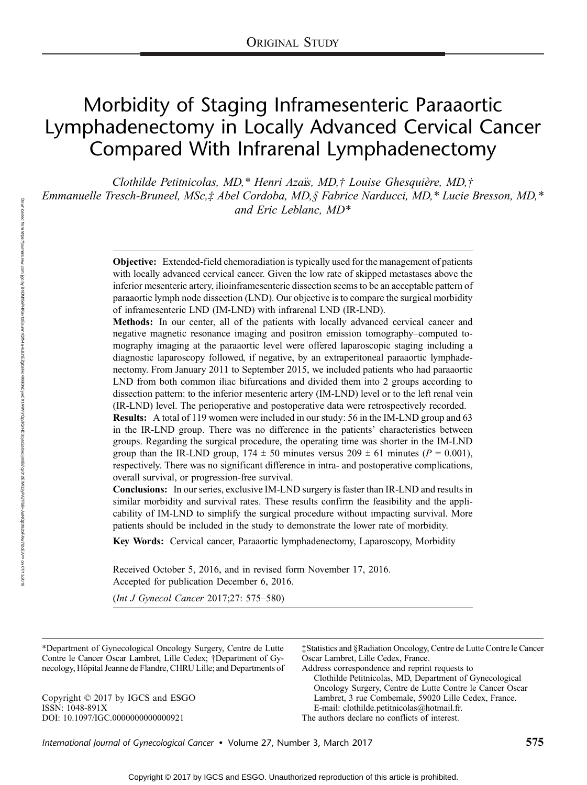# Morbidity of Staging Inframesenteric Paraaortic Lymphadenectomy in Locally Advanced Cervical Cancer Compared With Infrarenal Lymphadenectomy

Clothilde Petitnicolas, MD,\* Henri Azaïs, MD,† Louise Ghesquière, MD,† Emmanuelle Tresch-Bruneel, MSc, $\ddagger$  Abel Cordoba, MD, § Fabrice Narducci, MD,  $*$  Lucie Bresson, MD,  $*$ and Eric Leblanc, MD\*

> Objective: Extended-field chemoradiation is typically used for the management of patients with locally advanced cervical cancer. Given the low rate of skipped metastases above the inferior mesenteric artery, ilioinframesenteric dissection seems to be an acceptable pattern of paraaortic lymph node dissection (LND). Our objective is to compare the surgical morbidity of inframesenteric LND (IM-LND) with infrarenal LND (IR-LND).

> Methods: In our center, all of the patients with locally advanced cervical cancer and negative magnetic resonance imaging and positron emission tomography-computed tomography imaging at the paraaortic level were offered laparoscopic staging including a diagnostic laparoscopy followed, if negative, by an extraperitoneal paraaortic lymphadenectomy. From January 2011 to September 2015, we included patients who had paraaortic LND from both common iliac bifurcations and divided them into 2 groups according to dissection pattern: to the inferior mesenteric artery (IM-LND) level or to the left renal vein (IR-LND) level. The perioperative and postoperative data were retrospectively recorded.

> Results: A total of 119 women were included in our study: 56 in the IM-LND group and 63 in the IR-LND group. There was no difference in the patients' characteristics between groups. Regarding the surgical procedure, the operating time was shorter in the IM-LND group than the IR-LND group,  $174 \pm 50$  minutes versus  $209 \pm 61$  minutes ( $P = 0.001$ ), respectively. There was no significant difference in intra- and postoperative complications, overall survival, or progression-free survival.

> Conclusions: In our series, exclusive IM-LND surgery is faster than IR-LND and results in similar morbidity and survival rates. These results confirm the feasibility and the applicability of IM-LND to simplify the surgical procedure without impacting survival. More patients should be included in the study to demonstrate the lower rate of morbidity.

Key Words: Cervical cancer, Paraaortic lymphadenectomy, Laparoscopy, Morbidity

Received October 5, 2016, and in revised form November 17, 2016. Accepted for publication December 6, 2016.

(Int J Gynecol Cancer 2017;27: 575-580)

\*Department of Gynecological Oncology Surgery, Centre de Lutte Contre le Cancer Oscar Lambret, Lille Cedex; †Department of Gynecology, Hôpital Jeanne de Flandre, CHRU Lille; and Departments of

Copyright  $@$  2017 by IGCS and ESGO ISSN: 1048-891X DOI: 10.1097/IGC.0000000000000921

‡Statistics and §Radiation Oncology, Centre de Lutte Contre le Cancer Oscar Lambret, Lille Cedex, France.

Address correspondence and reprint requests to Clothilde Petitnicolas, MD, Department of Gynecological Oncology Surgery, Centre de Lutte Contre le Cancer Oscar Lambret, 3 rue Combemale, 59020 Lille Cedex, France. E-mail: clothilde.petitnicolas@hotmail.fr. The authors declare no conflicts of interest.

International Journal of Gynecological Cancer • Volume 27, Number 3, March 2017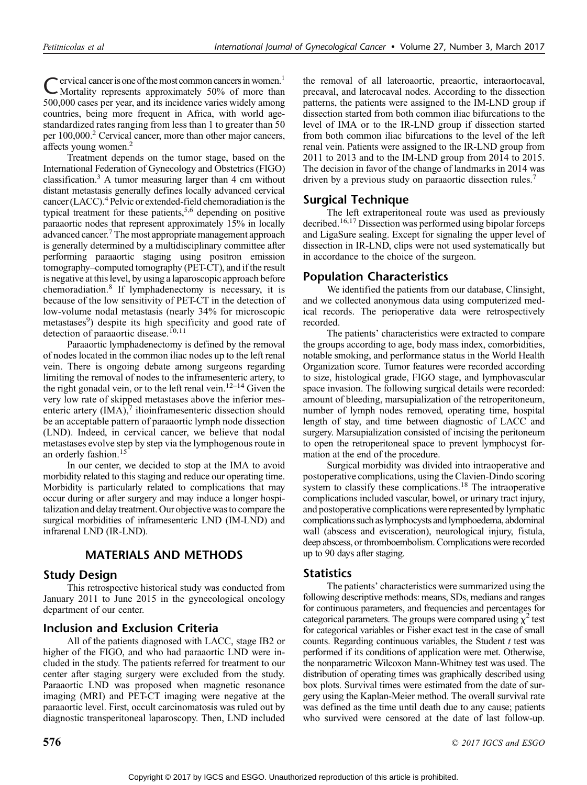Cervical cancer is one of the most common cancers in women.<sup>1</sup><br>Mortality represents approximately 50% of more than 500,000 cases per year, and its incidence varies widely among countries, being more frequent in Africa, with world agestandardized rates ranging from less than 1 to greater than 50 per 100,000.<sup>2</sup> Cervical cancer, more than other major cancers, affects young women.2

Treatment depends on the tumor stage, based on the International Federation of Gynecology and Obstetrics (FIGO) classification.<sup>3</sup> A tumor measuring larger than  $4 \text{ cm}$  without distant metastasis generally defines locally advanced cervical cancer (LACC).4 Pelvic or extended-field chemoradiation is the typical treatment for these patients,  $5,6$  depending on positive paraaortic nodes that represent approximately 15% in locally advanced cancer.<sup>7</sup> The most appropriate management approach is generally determined by a multidisciplinary committee after performing paraaortic staging using positron emission tomography-computed tomography (PET-CT), and if the result is negative at this level, by using a laparoscopic approach before chemoradiation.<sup>8</sup> If lymphadenectomy is necessary, it is because of the low sensitivity of PET-CT in the detection of low-volume nodal metastasis (nearly 34% for microscopic metastases<sup>9</sup>) despite its high specificity and good rate of detection of paraaortic disease.<sup>10,11</sup>

Paraaortic lymphadenectomy is defined by the removal of nodes located in the common iliac nodes up to the left renal vein. There is ongoing debate among surgeons regarding limiting the removal of nodes to the inframesenteric artery, to the right gonadal vein, or to the left renal vein.<sup>12-14</sup> Given the very low rate of skipped metastases above the inferior mesenteric artery  $(IMA)$ , ilioinframesenteric dissection should be an acceptable pattern of paraaortic lymph node dissection (LND). Indeed, in cervical cancer, we believe that nodal metastases evolve step by step via the lymphogenous route in an orderly fashion.<sup>15</sup>

In our center, we decided to stop at the IMA to avoid morbidity related to this staging and reduce our operating time. Morbidity is particularly related to complications that may occur during or after surgery and may induce a longer hospitalization and delay treatment. Our objective was to compare the surgical morbidities of inframesenteric LND (IM-LND) and infrarenal LND (IR-LND).

# MATERIALS AND METHODS

## Study Design

This retrospective historical study was conducted from January 2011 to June 2015 in the gynecological oncology department of our center.

## Inclusion and Exclusion Criteria

All of the patients diagnosed with LACC, stage IB2 or higher of the FIGO, and who had paraaortic LND were included in the study. The patients referred for treatment to our center after staging surgery were excluded from the study. Paraaortic LND was proposed when magnetic resonance imaging (MRI) and PET-CT imaging were negative at the paraaortic level. First, occult carcinomatosis was ruled out by diagnostic transperitoneal laparoscopy. Then, LND included

the removal of all lateroaortic, preaortic, interaortocaval, precaval, and laterocaval nodes. According to the dissection patterns, the patients were assigned to the IM-LND group if dissection started from both common iliac bifurcations to the level of IMA or to the IR-LND group if dissection started from both common iliac bifurcations to the level of the left renal vein. Patients were assigned to the IR-LND group from 2011 to 2013 and to the IM-LND group from 2014 to 2015. The decision in favor of the change of landmarks in 2014 was driven by a previous study on paraaortic dissection rules.<sup>7</sup>

## Surgical Technique

The left extraperitoneal route was used as previously decribed.<sup>16,17</sup> Dissection was performed using bipolar forceps and LigaSure sealing. Except for signaling the upper level of dissection in IR-LND, clips were not used systematically but in accordance to the choice of the surgeon.

## Population Characteristics

We identified the patients from our database, Clinsight, and we collected anonymous data using computerized medical records. The perioperative data were retrospectively recorded.

The patients' characteristics were extracted to compare the groups according to age, body mass index, comorbidities, notable smoking, and performance status in the World Health Organization score. Tumor features were recorded according to size, histological grade, FIGO stage, and lymphovascular space invasion. The following surgical details were recorded: amount of bleeding, marsupialization of the retroperitoneum, number of lymph nodes removed, operating time, hospital length of stay, and time between diagnostic of LACC and surgery. Marsupialization consisted of incising the peritoneum to open the retroperitoneal space to prevent lymphocyst formation at the end of the procedure.

Surgical morbidity was divided into intraoperative and postoperative complications, using the Clavien-Dindo scoring system to classify these complications.<sup>18</sup> The intraoperative complications included vascular, bowel, or urinary tract injury, and postoperative complications were represented by lymphatic complications such as lymphocysts and lymphoedema, abdominal wall (abscess and evisceration), neurological injury, fistula, deep abscess, or thromboembolism. Complications were recorded up to 90 days after staging.

## **Statistics**

The patients' characteristics were summarized using the following descriptive methods: means, SDs, medians and ranges for continuous parameters, and frequencies and percentages for categorical parameters. The groups were compared using  $\chi^2$  test for categorical variables or Fisher exact test in the case of small counts. Regarding continuous variables, the Student  $t$  test was performed if its conditions of application were met. Otherwise, the nonparametric Wilcoxon Mann-Whitney test was used. The distribution of operating times was graphically described using box plots. Survival times were estimated from the date of surgery using the Kaplan-Meier method. The overall survival rate was defined as the time until death due to any cause; patients who survived were censored at the date of last follow-up.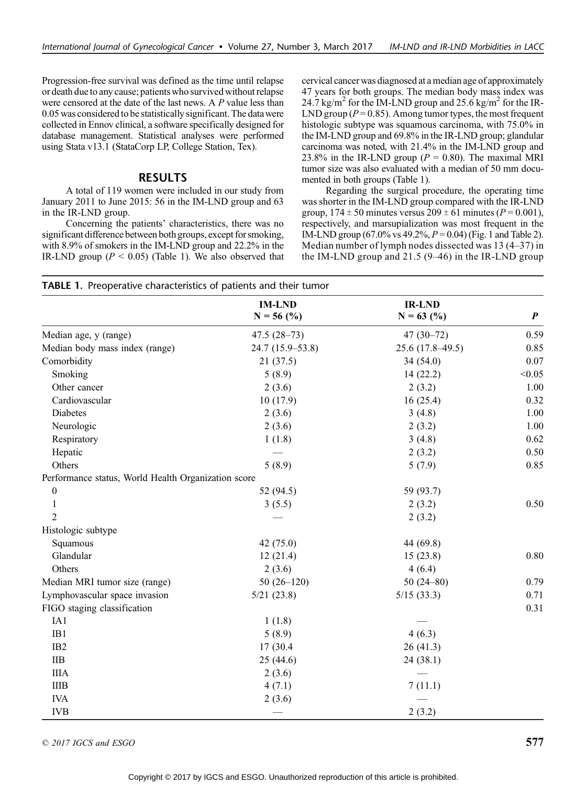Progression-free survival was defined as the time until relapse or death due to any cause; patients who survived without relapse were censored at the date of the last news. A P value less than 0.05 was considered to be statistically significant. The datawere collected in Ennov clinical, a software specifically designed for database management. Statistical analyses were performed using Stata v13.1 (StataCorp LP, College Station, Tex).

#### RESULTS

A total of 119 women were included in our study from January 2011 to June 2015: 56 in the IM-LND group and 63 in the IR-LND group.

Concerning the patients' characteristics, there was no significant difference between both groups, except for smoking, with 8.9% of smokers in the IM-LND group and 22.2% in the IR-LND group ( $P < 0.05$ ) (Table 1). We also observed that cervical cancer was diagnosed at a median age of approximately 47 years for both groups. The median body mass index was 24.7 kg/m<sup>2</sup> for the IM-LND group and 25.6 kg/m<sup>2</sup> for the IR-LND group ( $P = 0.85$ ). Among tumor types, the most frequent histologic subtype was squamous carcinoma, with 75.0% in the IM-LND group and 69.8% in the IR-LND group; glandular carcinoma was noted, with 21.4% in the IM-LND group and 23.8% in the IR-LND group ( $P = 0.80$ ). The maximal MRI tumor size was also evaluated with a median of 50 mm documented in both groups (Table 1).

Regarding the surgical procedure, the operating time was shorter in the IM-LND group compared with the IR-LND group,  $174 \pm 50$  minutes versus  $209 \pm 61$  minutes ( $P = 0.001$ ), respectively, and marsupialization was most frequent in the IM-LND group (67.0% vs 49.2%,  $P = 0.04$ ) (Fig. 1 and Table 2). Median number of lymph nodes dissected was  $13(4-37)$  in the IM-LND group and  $21.5$  (9–46) in the IR-LND group

|                                                     | <b>IM-LND</b><br>$N = 56$ (%) | <b>IR-LND</b><br>$N = 63$ (%) | $\boldsymbol{P}$ |
|-----------------------------------------------------|-------------------------------|-------------------------------|------------------|
|                                                     |                               |                               |                  |
| Median age, y (range)                               | $47.5(28-73)$                 | $47(30-72)$                   | 0.59             |
| Median body mass index (range)                      | 24.7 (15.9–53.8)              | 25.6 (17.8-49.5)              | 0.85             |
| Comorbidity                                         | 21(37.5)                      | 34 (54.0)                     | $0.07\,$         |
| Smoking                                             | 5(8.9)                        | 14(22.2)                      | < 0.05           |
| Other cancer                                        | 2(3.6)                        | 2(3.2)                        | 1.00             |
| Cardiovascular                                      | 10(17.9)                      | 16(25.4)                      | 0.32             |
| Diabetes                                            | 2(3.6)                        | 3(4.8)                        | 1.00             |
| Neurologic                                          | 2(3.6)                        | 2(3.2)                        | 1.00             |
| Respiratory                                         | 1(1.8)                        | 3(4.8)                        | 0.62             |
| Hepatic                                             |                               | 2(3.2)                        | 0.50             |
| Others                                              | 5(8.9)                        | 5(7.9)                        | 0.85             |
| Performance status, World Health Organization score |                               |                               |                  |
| $\boldsymbol{0}$                                    | 52 (94.5)                     | 59 (93.7)                     |                  |
| $\mathbf{1}$                                        | 3(5.5)                        | 2(3.2)                        | 0.50             |
| $\overline{2}$                                      |                               | 2(3.2)                        |                  |
| Histologic subtype                                  |                               |                               |                  |
| Squamous                                            | 42 $(75.0)$                   | 44 (69.8)                     |                  |
| Glandular                                           | 12(21.4)                      | 15(23.8)                      | 0.80             |
| Others                                              | 2(3.6)                        | 4(6.4)                        |                  |
| Median MRI tumor size (range)                       | $50(26-120)$                  | 50 $(24-80)$                  | 0.79             |
| Lymphovascular space invasion                       | 5/21(23.8)                    | 5/15(33.3)                    | 0.71             |
| FIGO staging classification                         |                               |                               | 0.31             |
| IA1                                                 | 1(1.8)                        |                               |                  |
| IB1                                                 | 5(8.9)                        | 4(6.3)                        |                  |
| IB <sub>2</sub>                                     | 17 (30.4)                     | 26(41.3)                      |                  |
| IIB                                                 | 25(44.6)                      | 24(38.1)                      |                  |
| $\rm IIIA$                                          | 2(3.6)                        |                               |                  |
| $\rm IIIB$                                          | 4(7.1)                        | 7(11.1)                       |                  |
| <b>IVA</b>                                          | 2(3.6)                        |                               |                  |
| <b>IVB</b>                                          |                               | 2(3.2)                        |                  |

 $\degree$  2017 IGCS and ESGO 577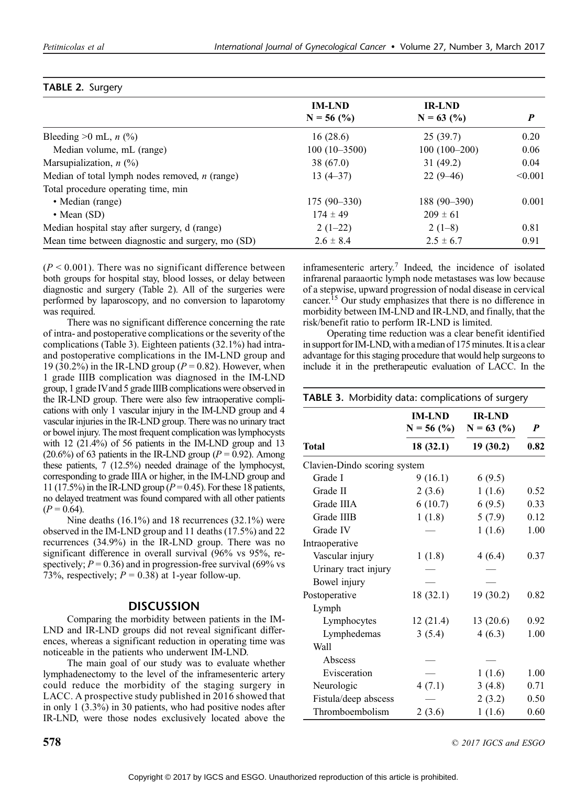|                                                   | <b>IM-LND</b><br>$N = 56$ (%) | <b>IR-LND</b><br>$N = 63$ (%) | P       |  |
|---------------------------------------------------|-------------------------------|-------------------------------|---------|--|
| Bleeding $>0$ mL, n $(\%)$                        | 16(28.6)                      | 25(39.7)                      | 0.20    |  |
| Median volume, mL (range)                         | $100(10-3500)$                | $100(100-200)$                | 0.06    |  |
| Marsupialization, $n$ (%)                         | 38 (67.0)                     | 31(49.2)                      | 0.04    |  |
| Median of total lymph nodes removed, $n$ (range)  | $13(4-37)$                    | $22(9-46)$                    | < 0.001 |  |
| Total procedure operating time, min               |                               |                               |         |  |
| • Median (range)                                  | $175(90-330)$                 | 188 (90–390)                  | 0.001   |  |
| • Mean $(SD)$                                     | $174 \pm 49$                  | $209 \pm 61$                  |         |  |
| Median hospital stay after surgery, d (range)     | $2(1-22)$                     | $2(1-8)$                      | 0.81    |  |
| Mean time between diagnostic and surgery, mo (SD) | $2.6 \pm 8.4$                 | $2.5 \pm 6.7$                 | 0.91    |  |

 $(P < 0.001)$ . There was no significant difference between both groups for hospital stay, blood losses, or delay between diagnostic and surgery (Table 2). All of the surgeries were performed by laparoscopy, and no conversion to laparotomy was required.

There was no significant difference concerning the rate of intra- and postoperative complications or the severity of the complications (Table 3). Eighteen patients (32.1%) had intraand postoperative complications in the IM-LND group and 19 (30.2%) in the IR-LND group ( $P = 0.82$ ). However, when 1 grade IIIB complication was diagnosed in the IM-LND group, 1 grade IVand 5 grade IIIB complications were observed in the IR-LND group. There were also few intraoperative complications with only 1 vascular injury in the IM-LND group and 4 vascular injuries in the IR-LND group. There was no urinary tract or bowel injury. The most frequent complication was lymphocysts with 12 (21.4%) of 56 patients in the IM-LND group and 13 (20.6%) of 63 patients in the IR-LND group ( $P = 0.92$ ). Among these patients, 7 (12.5%) needed drainage of the lymphocyst, corresponding to grade IIIA or higher, in the IM-LND group and 11 (17.5%) in the IR-LND group ( $P = 0.45$ ). For these 18 patients, no delayed treatment was found compared with all other patients  $(P = 0.64)$ .

Nine deaths (16.1%) and 18 recurrences (32.1%) were observed in the IM-LND group and 11 deaths (17.5%) and 22 recurrences (34.9%) in the IR-LND group. There was no significant difference in overall survival (96% vs 95%, respectively;  $P = 0.36$ ) and in progression-free survival (69% vs 73%, respectively;  $P = 0.38$ ) at 1-year follow-up.

## DISCUSSION

Comparing the morbidity between patients in the IM-LND and IR-LND groups did not reveal significant differences, whereas a significant reduction in operating time was noticeable in the patients who underwent IM-LND.

The main goal of our study was to evaluate whether lymphadenectomy to the level of the inframesenteric artery could reduce the morbidity of the staging surgery in LACC. A prospective study published in 2016 showed that in only 1 (3.3%) in 30 patients, who had positive nodes after IR-LND, were those nodes exclusively located above the

inframesenteric artery.<sup>7</sup> Indeed, the incidence of isolated infrarenal paraaortic lymph node metastases was low because of a stepwise, upward progression of nodal disease in cervical cancer.<sup>15</sup> Our study emphasizes that there is no difference in morbidity between IM-LND and IR-LND, and finally, that the risk/benefit ratio to perform IR-LND is limited.

Operating time reduction was a clear benefit identified in support for IM-LND, with a median of 175 minutes. It is a clear advantage for this staging procedure that would help surgeons to include it in the pretherapeutic evaluation of LACC. In the

| <b>TABLE 3.</b> Morbidity data: complications of surgery |                                           |                                           |           |                              |  |
|----------------------------------------------------------|-------------------------------------------|-------------------------------------------|-----------|------------------------------|--|
| <b>Total</b>                                             | <b>IM-LND</b><br>$N = 56$ (%)<br>18(32.1) | <b>IR-LND</b><br>$N = 63$ (%)<br>19(30.2) | P<br>0.82 |                              |  |
|                                                          |                                           |                                           |           | Clavien-Dindo scoring system |  |
| Grade I                                                  | 9(16.1)                                   | 6(9.5)                                    |           |                              |  |
| Grade II                                                 | 2(3.6)                                    | 1(1.6)                                    | 0.52      |                              |  |
| Grade IIIA                                               | 6(10.7)                                   | 6(9.5)                                    | 0.33      |                              |  |
| Grade IIIB                                               | 1(1.8)                                    | 5(7.9)                                    | 0.12      |                              |  |
| Grade IV                                                 |                                           | 1(1.6)                                    | 1.00      |                              |  |
| Intraoperative                                           |                                           |                                           |           |                              |  |
| Vascular injury                                          | 1(1.8)                                    | 4(6.4)                                    | 0.37      |                              |  |
| Urinary tract injury                                     |                                           |                                           |           |                              |  |
| Bowel injury                                             |                                           |                                           |           |                              |  |
| Postoperative                                            | 18 (32.1)                                 | 19 (30.2)                                 | 0.82      |                              |  |
| Lymph                                                    |                                           |                                           |           |                              |  |
| Lymphocytes                                              | 12(21.4)                                  | 13(20.6)                                  | 0.92      |                              |  |
| Lymphedemas                                              | 3(5.4)                                    | 4(6.3)                                    | 1.00      |                              |  |
| Wall                                                     |                                           |                                           |           |                              |  |
| Abscess                                                  |                                           |                                           |           |                              |  |
| Evisceration                                             |                                           | 1(1.6)                                    | 1.00      |                              |  |
| Neurologic                                               | 4(7.1)                                    | 3(4.8)                                    | 0.71      |                              |  |
| Fistula/deep abscess                                     |                                           | 2(3.2)                                    | 0.50      |                              |  |
| Thromboembolism                                          | 2(3.6)                                    | 1(1.6)                                    | 0.60      |                              |  |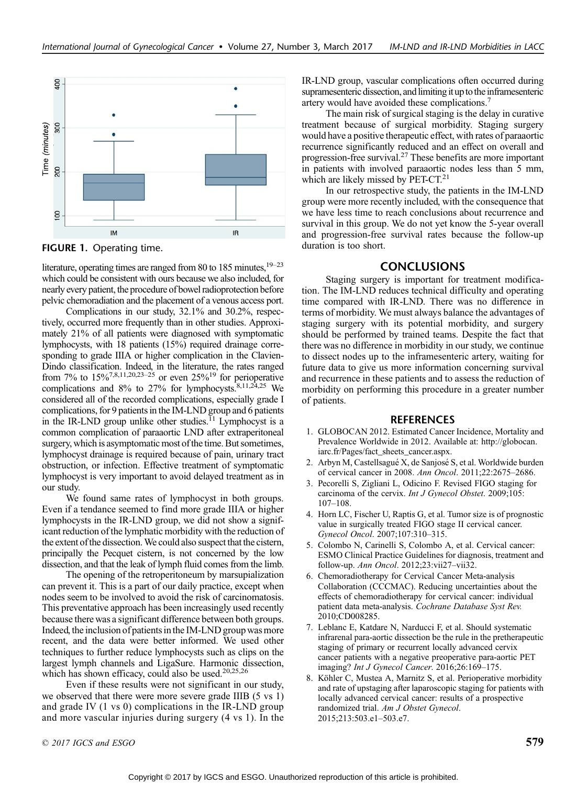

FIGURE 1. Operating time.

literature, operating times are ranged from 80 to 185 minutes,  $19-23$ which could be consistent with ours because we also included, for nearly every patient, the procedure of bowel radioprotection before pelvic chemoradiation and the placement of a venous access port.

Complications in our study, 32.1% and 30.2%, respectively, occurred more frequently than in other studies. Approximately 21% of all patients were diagnosed with symptomatic lymphocysts, with 18 patients (15%) required drainage corresponding to grade IIIA or higher complication in the Clavien-Dindo classification. Indeed, in the literature, the rates ranged from  $7\%$  to  $15\%^{7,8,11,20,23-25}$  or even  $25\%^{19}$  for perioperative complications and 8% to 27% for lymphocysts.<sup>8,11,24,25</sup> We considered all of the recorded complications, especially grade I complications, for 9 patients in the IM-LND group and 6 patients in the IR-LND group unlike other studies.<sup>11</sup> Lymphocyst is a common complication of paraaortic LND after extraperitoneal surgery, which is asymptomatic most of the time. But sometimes, lymphocyst drainage is required because of pain, urinary tract obstruction, or infection. Effective treatment of symptomatic lymphocyst is very important to avoid delayed treatment as in our study.

We found same rates of lymphocyst in both groups. Even if a tendance seemed to find more grade IIIA or higher lymphocysts in the IR-LND group, we did not show a significant reduction of the lymphatic morbidity with the reduction of the extent of the dissection.We could also suspect that the cistern, principally the Pecquet cistern, is not concerned by the low dissection, and that the leak of lymph fluid comes from the limb.

The opening of the retroperitoneum by marsupialization can prevent it. This is a part of our daily practice, except when nodes seem to be involved to avoid the risk of carcinomatosis. This preventative approach has been increasingly used recently because there was a significant difference between both groups. Indeed, the inclusion of patients in the IM-LND group was more recent, and the data were better informed. We used other techniques to further reduce lymphocysts such as clips on the largest lymph channels and LigaSure. Harmonic dissection, which has shown efficacy, could also be used.<sup>20,25,26</sup>

Even if these results were not significant in our study, we observed that there were more severe grade IIIB (5 vs 1) and grade IV (1 vs 0) complications in the IR-LND group and more vascular injuries during surgery (4 vs 1). In the IR-LND group, vascular complications often occurred during supramesenteric dissection, and limiting it up to the inframesenteric artery would have avoided these complications.7

The main risk of surgical staging is the delay in curative treatment because of surgical morbidity. Staging surgery would have a positive therapeutic effect, with rates of paraaortic recurrence significantly reduced and an effect on overall and progression-free survival.27 These benefits are more important in patients with involved paraaortic nodes less than 5 mm, which are likely missed by  $PET-CT<sup>21</sup>$ 

In our retrospective study, the patients in the IM-LND group were more recently included, with the consequence that we have less time to reach conclusions about recurrence and survival in this group. We do not yet know the 5-year overall and progression-free survival rates because the follow-up duration is too short.

#### **CONCLUSIONS**

Staging surgery is important for treatment modification. The IM-LND reduces technical difficulty and operating time compared with IR-LND. There was no difference in terms of morbidity. We must always balance the advantages of staging surgery with its potential morbidity, and surgery should be performed by trained teams. Despite the fact that there was no difference in morbidity in our study, we continue to dissect nodes up to the inframesenteric artery, waiting for future data to give us more information concerning survival and recurrence in these patients and to assess the reduction of morbidity on performing this procedure in a greater number of patients.

#### **REFERENCES**

- 1. GLOBOCAN 2012. Estimated Cancer Incidence, Mortality and Prevalence Worldwide in 2012. Available at: [http://globocan.](http://globocan.iarc.fr/Pages/fact_sheets_cancer.aspx) [iarc.fr/Pages/fact\\_sheets\\_cancer.aspx.](http://globocan.iarc.fr/Pages/fact_sheets_cancer.aspx)
- 2. Arbyn M, Castellsagué X, de Sanjosé S, et al. Worldwide burden of cervical cancer in 2008. Ann Oncol. 2011;22:2675-2686.
- 3. Pecorelli S, Zigliani L, Odicino F. Revised FIGO staging for carcinoma of the cervix. Int J Gynecol Obstet. 2009;105:  $107 - 108.$
- 4. Horn LC, Fischer U, Raptis G, et al. Tumor size is of prognostic value in surgically treated FIGO stage II cervical cancer. Gynecol Oncol. 2007;107:310-315.
- 5. Colombo N, Carinelli S, Colombo A, et al. Cervical cancer: ESMO Clinical Practice Guidelines for diagnosis, treatment and follow-up. Ann Oncol. 2012;23:vii27-vii32.
- 6. Chemoradiotherapy for Cervical Cancer Meta-analysis Collaboration (CCCMAC). Reducing uncertainties about the effects of chemoradiotherapy for cervical cancer: individual patient data meta-analysis. Cochrane Database Syst Rev. 2010;CD008285.
- 7. Leblanc E, Katdare N, Narducci F, et al. Should systematic infrarenal para-aortic dissection be the rule in the pretherapeutic staging of primary or recurrent locally advanced cervix cancer patients with a negative preoperative para-aortic PET imaging? Int J Gynecol Cancer. 2016;26:169-175.
- 8. Köhler C, Mustea A, Marnitz S, et al. Perioperative morbidity and rate of upstaging after laparoscopic staging for patients with locally advanced cervical cancer: results of a prospective randomized trial. Am J Obstet Gynecol. 2015;213:503.e1-503.e7.

 $\degree$  2017 IGCS and ESGO 579